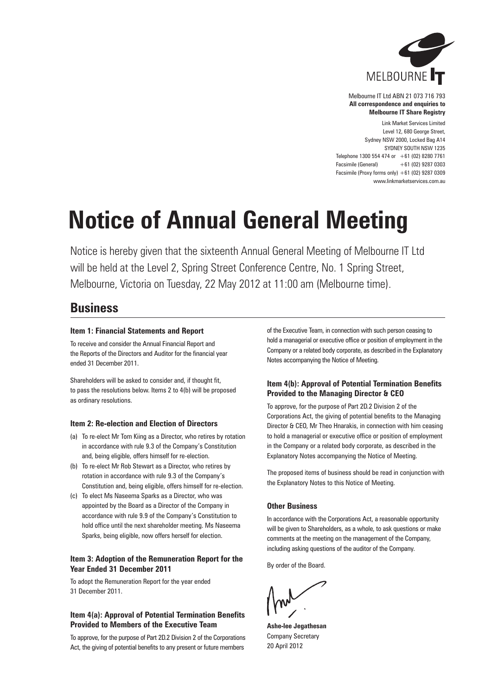

Melbourne IT Ltd ABN 21 073 716 793 **All correspondence and enquiries to Melbourne IT Share Registry**

Link Market Services Limited Level 12, 680 George Street, Sydney NSW 2000, Locked Bag A14 SYDNEY SOUTH NSW 1235 Telephone 1300 554 474 or  $+61$  (02) 8280 7761 Facsimile (General) +61 (02) 9287 0303 Facsimile (Proxy forms only) +61 (02) 9287 0309 www.linkmarketservices.com.au

# **Notice of Annual General Meeting**

Notice is hereby given that the sixteenth Annual General Meeting of Melbourne IT Ltd will be held at the Level 2, Spring Street Conference Centre, No. 1 Spring Street, Melbourne, Victoria on Tuesday, 22 May 2012 at 11:00 am (Melbourne time).

## **Business**

#### **Item 1: Financial Statements and Report**

To receive and consider the Annual Financial Report and the Reports of the Directors and Auditor for the financial year ended 31 December 2011.

Shareholders will be asked to consider and, if thought fit, to pass the resolutions below. Items 2 to 4(b) will be proposed as ordinary resolutions.

#### **Item 2: Re-election and Election of Directors**

- (a) To re-elect Mr Tom Kiing as a Director, who retires by rotation in accordance with rule 9.3 of the Company's Constitution and, being eligible, offers himself for re-election.
- (b) To re-elect Mr Rob Stewart as a Director, who retires by rotation in accordance with rule 9.3 of the Company's Constitution and, being eligible, offers himself for re-election.
- (c) To elect Ms Naseema Sparks as a Director, who was appointed by the Board as a Director of the Company in accordance with rule 9.9 of the Company's Constitution to hold office until the next shareholder meeting. Ms Naseema Sparks, being eligible, now offers herself for election.

#### **Item 3: Adoption of the Remuneration Report for the Year Ended 31 December 2011**

To adopt the Remuneration Report for the year ended 31 December 2011.

#### **Item 4(a): Approval of Potential Termination Benefits Provided to Members of the Executive Team**

To approve, for the purpose of Part 2D.2 Division 2 of the Corporations Act, the giving of potential benefits to any present or future members

of the Executive Team, in connection with such person ceasing to hold a managerial or executive office or position of employment in the Company or a related body corporate, as described in the Explanatory Notes accompanying the Notice of Meeting.

### **Item 4(b): Approval of Potential Termination Benefits Provided to the Managing Director & CEO**

To approve, for the purpose of Part 2D.2 Division 2 of the Corporations Act, the giving of potential benefits to the Managing Director & CEO, Mr Theo Hnarakis, in connection with him ceasing to hold a managerial or executive office or position of employment in the Company or a related body corporate, as described in the Explanatory Notes accompanying the Notice of Meeting.

The proposed items of business should be read in conjunction with the Explanatory Notes to this Notice of Meeting.

### **Other Business**

In accordance with the Corporations Act, a reasonable opportunity will be given to Shareholders, as a whole, to ask questions or make comments at the meeting on the management of the Company, including asking questions of the auditor of the Company.

By order of the Board.

**Ashe-lee Jegathesan** Company Secretary 20 April 2012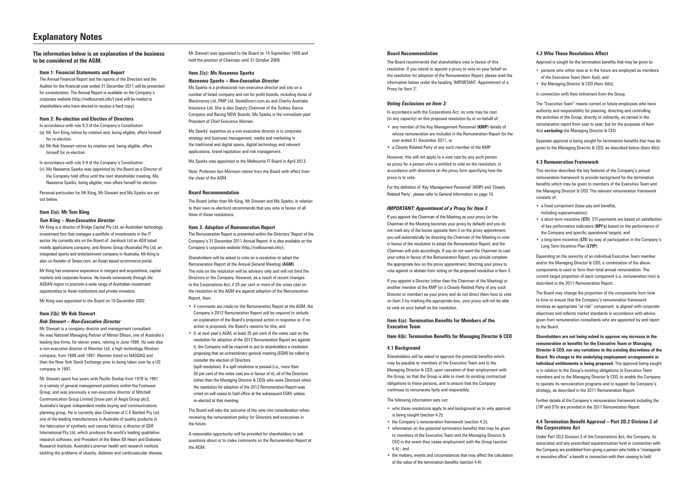# **Explanatory Notes**

#### **Board Recommendation**

The Board recommends that shareholders vote in favour of this resolution. If you intend to appoint a proxy to vote on your behalf on the resolution for adoption of the Remuneration Report, please read the information below under the heading 'IMPORTANT: Appointment of a Proxy for Item 3'.

#### *Voting Exclusions on Item 3:*

In accordance with the Corporations Act, no vote may be cast (in any capacity) on this proposed resolution by or on behalf of:

- • any member of the Key Management Personnel (**KMP**) details of whose remuneration are included in the Remuneration Report for the year ended 31 December 2011, or
- • a Closely Related Party of any such member of the KMP.

However, this will not apply to a vote cast by any such person as proxy for a person who is entitled to vote on the resolution, in accordance with directions on the proxy form specifying how the proxy is to vote.

For the definition of 'Key Management Personnel' (KMP) and 'Closely Related Party', please refer to General Information on page 10.

#### *IMPORTANT: Appointment of a Proxy for Item 3*

If you appoint the Chairman of the Meeting as your proxy (or the Chairman of the Meeting becomes your proxy by default) and you do not mark any of the boxes opposite Item 3 on the proxy appointment, you will automatically be directing the Chairman of the Meeting to vote in favour of the resolution to adopt the Remuneration Report, and the Chairman will vote accordingly. If you do not want the Chairman to cast your votes in favour of the Remuneration Report, you should complete the appropriate box on the proxy appointment, directing your proxy to vote against or abstain from voting on the proposed resolution in Item 3.

- who these resolutions apply to and background as to why approval is being sought (section 4.2);
- the Company's remuneration framework (section 4.3):
- information on the potential termination benefits that may be given to members of the Executive Team and the Managing Director & CEO in the event they cease employment with the Group (section 4.4) ; and
- the matters, events and circumstances that may affect the calculation of the value of the termination benefits (section 4.4).

If you appoint a Director (other than the Chairman of the Meeting) or another member of the KMP (or a Closely Related Party of any such Director or member) as your proxy and do not direct them how to vote on Item 3 by marking the appropriate box, your proxy will not be able to vote on your behalf on the resolution.

#### **Item 4(a): Termination Benefits for Members of the Executive Team**

#### **Item 4(b): Termination Benefits for Managing Director & CEO**

#### **4.1 Background**

Shareholders will be asked to approve the potential benefits which may be payable to members of the Executive Team and to the Managing Director & CEO, upon cessation of their employment with the Group, so that the Group is able to meet its existing contractual obligations to these persons, and to ensure that the Company continues to remunerate fairly and responsibly.

The following information sets out:

#### **The information below is an explanation of the business to be considered at the AGM.**

#### **Item 1: Financial Statements and Report**

The Annual Financial Report and the reports of the Directors and the Auditor for the financial year ended 31 December 2011 will be presented for consideration. The Annual Report is available on the Company's corporate website (http://melbourneit.info/) (and will be mailed to shareholders who have elected to receive a hard copy).

#### **Item 2: Re-election and Election of Directors**

In accordance with rule 9.3 of the Company's Constitution:

- (a) Mr Tom Kiing retires by rotation and, being eligible, offers himself for re-election
- (b) Mr Rob Stewart retires by rotation and, being eligible, offers himself for re-election.

In accordance with rule 9.9 of the Company's Constitution:

(c) Ms Naseema Sparks was appointed by the Board as a Director of the Company hold office until the next shareholder meeting. Ms Naseema Sparks, being eligible, now offers herself for election.

Personal particulars for Mr Kiing, Mr Stewart and Ms Sparks are set out below.

#### **Item 2(a): Mr Tom Kiing**

#### *Tom Kiing – Non-Executive Director*

Mr Kiing is a director of Bridge Capital Pty Ltd, an Australian technology investment firm that manages a portfolio of investments in the IT sector. He currently sits on the Board of: Jumbuck Ltd an ASX listed mobile applications company; and Atomic Group (Australia) Pty Ltd, an integrated sports and entertainment company in Australia. Mr Kiing is also co-founder of Tarazz.com, an Asian based ecommerce portal.

- • persons who either now or in the future are employed as members of the Executive Team (Item 4(a)); and
- the Managing Director & CEO (Item 4(b)),

Mr Kiing has extensive experience in mergers and acquisitions, capital markets and corporate finance. He travels extensively through the ASEAN region to promote a wide range of Australian investment opportunities to Asian institutions and private investors.

Mr Kiing was appointed to the Board on 19 December 2002.

#### **Item 2(b): Mr Rob Stewart**

#### *Rob Stewart – Non-Executive Director*

Mr Stewart is a company director and management consultant. He was National Managing Partner of Minter Ellison, one of Australia's leading law firms, for eleven years, retiring in June 1999. He was also a non-executive director of Memtec Ltd, a high technology filtration company, from 1988 until 1997. Memtec listed on NASDAQ and then the New York Stock Exchange prior to being taken over by a US company in 1997.

- a fixed component (base pay and benefits, including superannuation);
- • a short-term incentive (**STI**). STI payments are based on satisfaction of key performance indicators (**KPI's**) based on the performance of the Company and specific operational targets; and
- a long-term incentive (LTI) by way of participation in the Company's Long Term Incentive Plan (**LTIP**).

Mr Stewart spent five years with Pacific Dunlop from 1976 to 1981 in a variety of general management positions within the Footwear Group, and was previously a non-executive director of Mitchell Communication Group Limited [(now part of Aegis Group plc)], Australia's largest independent media buying and communications planning group. He is currently also Chairman of C E Bartlett Pty Ltd, one of the leading manufacturers in Australia of quality products in the fabrication of synthetic and canvas fabrics; a director of QSR International Pty Ltd, which produces the world's leading qualitative research software; and President of the Baker IDI Heart and Diabetes Research Institute, Australia's premier health and research institute tackling the problems of obesity, diabetes and cardiovascular disease. Mr Stewart was appointed to the Board on 14 September 1999 and held the position of Chairman until 31 October 2009.

#### **Item 2(c): Ms Naseema Sparks**

#### *Naseema Sparks – Non-Executive Director*

Ms Sparks is a professional non-executive director and sits on a number of listed company and not for profit boards, including those of Blackmores Ltd, PMP Ltd, DealsDirect.com.au and Chartis Australia Insurance Ltd. She is also Deputy Chairman of the Sydney Dance Company and Racing NSW Boards. Ms Sparks is the immediate past President of Chief Executive Women.

Ms Sparks' expertise as a non-executive director is in corporate strategy and business management, media and marketing in the traditional and digital space, digital technology and relevant applications, brand reputation and risk management.

Ms Sparks was appointed to the Melbourne IT Board in April 2012.

Note: Professor Iain Morrison retires from the Board with effect from the close of the AGM.

#### **Board Recommendation**

The Board (other than Mr Kiing, Mr Stewart and Ms Sparks, in relation to their own re-election) recommends that you vote in favour of all three of these resolutions.

#### **Item 3: Adoption of Remuneration Report**

The Remuneration Report is presented within the Directors' Report of the Company's 31 December 2011 Annual Report. It is also available on the Company's corporate website (http://melbourneit.info/).

Shareholders will be asked to vote on a resolution to adopt the Remuneration Report at the Annual General Meeting (**AGM**). The vote on the resolution will be advisory only and will not bind the Directors or the Company. However, as a result of recent changes to the Corporations Act, if 25 per cent or more of the votes cast on the resolution at the AGM are against adoption of the Remuneration Report, then:

- • if comments are made on the Remuneration Report at the AGM, the Company's 2012 Remuneration Report will be required to include an explanation of the Board's proposed action in response or, if no action is proposed, the Board's reasons for this, and
- if, at next year's AGM, at least 25 per cent of the votes cast on the resolution for adoption of the 2012 Remuneration Report are against it, the Company will be required to put to shareholders a resolution proposing that an extraordinary general meeting (EGM) be called to consider the election of Directors
- (spill resolution). If a spill resolution is passed (i.e., more than 50 per cent of the votes cast are in favour of it), all of the Directors (other than the Managing Director & CEO) who were Directors when the resolution for adoption of the 2012 Remuneration Report was voted on will cease to hold office at the subsequent EGM, unless re-elected at that meeting.

The Board will take the outcome of the vote into consideration when reviewing the remuneration policy for Directors and executives in the future.

A reasonable opportunity will be provided for shareholders to ask questions about or to make comments on the Remuneration Report at the AGM.

#### **4.2 Who These Resolutions Affect**

Approval is sought for the termination benefits that may be given to:

in connection with their retirement from the Group.

The "Executive Team" means current or future employees who have authority and responsibility for planning, directing and controlling the activities of the Group, directly or indirectly, as named in the remuneration report from year to year; but for the purposes of Item 4(a) *excluding* the Managing Director & CEO.

Separate approval is being sought for termination benefits that may be given to the Managing Director & CEO, as described below (Item 4(b)).

#### **4.3 Remuneration Framework**

This section describes the key features of the Company's annual remuneration framework to provide background for the termination benefits which may be given to members of the Executive Team and the Managing Director & CEO. The relevant remuneration framework consists of:

Depending on the seniority of an individual Executive Team member and/or the Managing Director & CEO, a combination of the above components is used to form their total annual remuneration. The current target proportion of each component (i.e. remuneration mix) is described in the 2011 Remuneration Report.

The Board may change the proportion of the components from time to time to ensure that the Company's remuneration framework involves an appropriate "at risk" component, is aligned with corporate objectives and reflects market standards in accordance with advice given from remuneration consultants who are appointed by and report to the Board.

**Shareholders are not being asked to approve any increase in the remuneration or benefits for the Executive Team or Managing Director & CEO, nor any variations to the existing discretions of the Board. No change to the underlying employment arrangements or individual entitlements is being proposed.** The approval being sought is in relation to the Group's existing obligations to Executive Team members and to the Managing Director & CEO, to enable the Company to operate its remuneration programs and to support the Company's strategy, as described in the 2011 Remuneration Report.

Further details of the Company's remuneration framework including the LTIP and STIs are provided in the 2011 Remuneration Report.

#### **4.4 Termination Benefit Approval – Part 2D.2 Division 2 of the Corporations Act**

Under Part 2D.2 Division 2 of the Corporations Act, the Company, its associates and any prescribed superannuation fund in connection with the Company are prohibited from giving a person who holds a "managerial or executive office" a benefit in connection with their ceasing to hold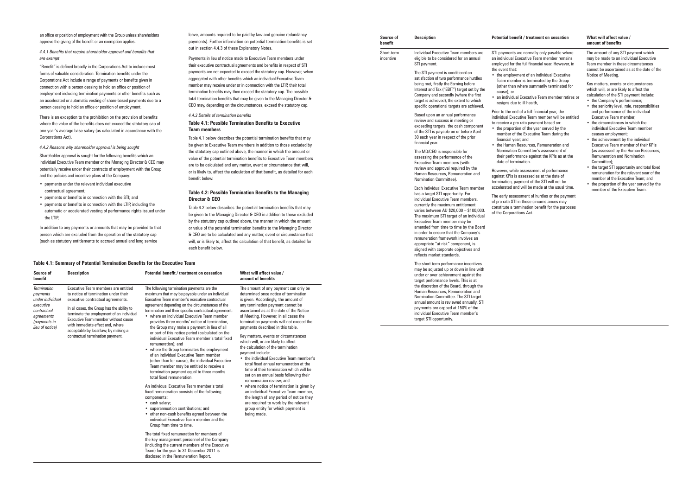an office or position of employment with the Group unless shareholders approve the giving of the benefit or an exemption applies.

*4.4.1 Benefits that require shareholder approval and benefits that are exempt* 

"Benefit" is defined broadly in the Corporations Act to include most forms of valuable consideration. Termination benefits under the Corporations Act include a range of payments or benefits given in connection with a person ceasing to hold an office or position of employment including termination payments or other benefits such as an accelerated or automatic vesting of share-based payments due to a person ceasing to hold an office or position of employment.

There is an exception to the prohibition on the provision of benefits where the value of the benefits does not exceed the statutory cap of one year's average base salary (as calculated in accordance with the Corporations Act).

*4.4.2 Reasons why shareholder approval is being sought* 

Shareholder approval is sought for the following benefits which an individual Executive Team member or the Managing Director & CEO may potentially receive under their contracts of employment with the Group and the policies and incentive plans of the Company:

- • payments under the relevant individual executive contractual agreement;
- • payments or benefits in connection with the STI; and
- • payments or benefits in connection with the LTIP, including the automatic or accelerated vesting of performance rights issued under the LTIP,

In addition to any payments or amounts that may be provided to that person which are excluded from the operation of the statutory cap (such as statutory entitlements to accrued annual and long service

#### leave, amounts required to be paid by law and genuine redundancy payments). Further information on potential termination benefits is set out in section 4.4.3 of these Explanatory Notes.

Payments in lieu of notice made to Executive Team members under their executive contractual agreements and benefits in respect of STI payments are not expected to exceed the statutory cap. However, when aggregated with other benefits which an individual Executive Team member may receive under or in connection with the LTIP, their total termination benefits may then exceed the statutory cap. The possible total termination benefits that may be given to the Managing Director & CEO may, depending on the circumstances, exceed the statutory cap.

#### *4.4.3 Details of termination benefits*

#### **Table 4.1: Possible Termination Benefits to Executive Team members**

Table 4.1 below describes the potential termination benefits that may be given to Executive Team members in addition to those excluded by the statutory cap outlined above, the manner in which the amount or value of the potential termination benefits to Executive Team members are to be calculated and any matter, event or circumstance that will, or is likely to, affect the calculation of that benefit, as detailed for each benefit below.

#### **Table 4.2: Possible Termination Benefits to the Managing Director & CEO**

• where notice of termination is given by an individual Executive Team member, the length of any period of notice they are required to work by the relevant group entity for which payment is

Table 4.2 below describes the potential termination benefits that may be given to the Managing Director & CEO in addition to those excluded by the statutory cap outlined above, the manner in which the amount or value of the potential termination benefits to the Managing Director & CEO are to be calculated and any matter, event or circumstance that will, or is likely to, affect the calculation of that benefit, as detailed for each benefit below.

| utive Team                  |                                                |
|-----------------------------|------------------------------------------------|
| it / treatment on cessation | What will affect value /<br>amount of benefits |
| mination payments are the   | The amount of any payment ca                   |

• an individual Executive Team member retires or health.

full financial year, the **I** Team member will be entitled payment based on:

the year served by the xecutive Team during the

erces, Remuneration and mittee's assessment of against the KPIs as at the  $n<sub>0</sub>$ 

essment of performance  $\mathsf{e}$  as at the date of  $_{\rm nt}$  of the STI will not be I be made at the usual time.

 $\overline{\text{F}}$  ant of hurdles or the payment ese circumstances may ation benefit for the purposes  $\Lambda$  of

| Source of<br>benefit                                                                                                            | <b>Description</b>                                                                                                                                                                                                                                                                                                                                                 | Potential benefit / treatment on cessation                                                                                                                                                                                                                                                                                                                                                                                                                                                                                                                                                                                                                                                                                                                                                                                                                                                                                                                                                                                                                                                                                                                                                                                                                                                            | What will affect value /<br>amount of benefits                                                                                                                                                                                                                                                                                                                                                                                                                                                                                                                                                                                                                                                                                                                                                                                                                                                      |
|---------------------------------------------------------------------------------------------------------------------------------|--------------------------------------------------------------------------------------------------------------------------------------------------------------------------------------------------------------------------------------------------------------------------------------------------------------------------------------------------------------------|-------------------------------------------------------------------------------------------------------------------------------------------------------------------------------------------------------------------------------------------------------------------------------------------------------------------------------------------------------------------------------------------------------------------------------------------------------------------------------------------------------------------------------------------------------------------------------------------------------------------------------------------------------------------------------------------------------------------------------------------------------------------------------------------------------------------------------------------------------------------------------------------------------------------------------------------------------------------------------------------------------------------------------------------------------------------------------------------------------------------------------------------------------------------------------------------------------------------------------------------------------------------------------------------------------|-----------------------------------------------------------------------------------------------------------------------------------------------------------------------------------------------------------------------------------------------------------------------------------------------------------------------------------------------------------------------------------------------------------------------------------------------------------------------------------------------------------------------------------------------------------------------------------------------------------------------------------------------------------------------------------------------------------------------------------------------------------------------------------------------------------------------------------------------------------------------------------------------------|
| <b>Termination</b><br>payments<br>under individual<br>executive<br>contractual<br>agreements<br>(payments in<br>lieu of notice) | Executive Team members are entitled<br>to notice of termination under their<br>executive contractual agreements.<br>In all cases, the Group has the ability to<br>terminate the employment of an individual<br>Executive Team member without cause<br>with immediate effect and, where<br>acceptable by local law, by making a<br>contractual termination payment. | The following termination payments are the<br>maximum that may be payable under an individual<br>Executive Team member's executive contractual<br>agreement depending on the circumstances of the<br>termination and their specific contractual agreement:<br>• where an individual Executive Team member<br>provides three months' notice of termination,<br>the Group may make a payment in lieu of all<br>or part of this notice period (calculated on the<br>individual Executive Team member's total fixed<br>remuneration); and<br>• where the Group terminates the employment<br>of an individual Executive Team member<br>(other than for cause), the individual Executive<br>Team member may be entitled to receive a<br>termination payment equal to three months<br>total fixed remuneration.<br>An individual Executive Team member's total<br>fixed remuneration consists of the following<br>components:<br>• cash salary;<br>• superannuation contributions; and<br>• other non-cash benefits agreed between the<br>individual Executive Team member and the<br>Group from time to time.<br>The total fixed remuneration for members of<br>the key management personnel of the Company<br>(including the current members of the Executive<br>Team) for the year to 31 December 2011 is | The amount of any payment can only be<br>determined once notice of termination<br>is given. Accordingly, the amount of<br>any termination payment cannot be<br>ascertained as at the date of the Notice<br>of Meeting. However, in all cases the<br>termination payments will not exceed th<br>payments described in this table.<br>Key matters, events or circumstances<br>which will, or are likely to affect<br>the calculation of the termination<br>payment include:<br>• the individual Executive Team membe<br>total fixed annual remuneration at the<br>time of their termination which will be<br>set on an annual basis following their<br>remuneration review: and<br>• where notice of termination is given<br>an individual Executive Team membe<br>the length of any period of notice the<br>are required to work by the relevant<br>group entity for which payment is<br>being made. |

- the Company's performance:
- the seniority level, role, responsibilities and performance of the individual Executive Team member;
- the circumstances in which the individual Executive Team member ceases employment;
- the achievement by the individual Executive Team member of their KPIs (as assessed by the Human Resources, Remuneration and Nomination Committee);
- the target STI opportunity and total fixed remuneration for the relevant year of the member of the Executive Team; and
- the proportion of the year served by the member of the Executive Team.

disclosed in the Remuneration Report.

ormally only payable where tive Team member remains financial year. However, in

of an individual Executive terminated by the Group e summarily terminated for

• the individual Executive Team member's total fixed annual remuneration at the time of their termination which will be set on an annual basis following their remuneration review; and

#### **Description Potential benefit / treatment on cessation What will affect value / amount of benefits**

| Source of             | <b>Description</b>                                                                                                                                                                                                                                                                                      | Potential benefit / tro                                                                                                                                                  |
|-----------------------|---------------------------------------------------------------------------------------------------------------------------------------------------------------------------------------------------------------------------------------------------------------------------------------------------------|--------------------------------------------------------------------------------------------------------------------------------------------------------------------------|
| benefit<br>Short-term | Individual Executive Team members are                                                                                                                                                                                                                                                                   | STI payments are nor                                                                                                                                                     |
| incentive             | eligible to be considered for an annual<br>STI payment.                                                                                                                                                                                                                                                 | an individual Executiv<br>employed for the full f                                                                                                                        |
|                       | The STI payment is conditional on<br>satisfaction of two performance hurdles<br>being met, firstly the Earning before<br>Interest and Tax ("EBIT") target set by the<br>Company and secondly (where the first<br>target is achieved), the extent to which<br>specific operational targets are achieved. | the event that:<br>the employment of<br>Team member is te<br>(other than where<br>cause); or<br>· an individual Execu<br>resigns due to ill he                           |
|                       | Based upon an annual performance<br>review and success in meeting or<br>exceeding targets, the cash component<br>of the STI is payable on or before April<br>30 each year in respect of the prior<br>financial year.                                                                                    | Prior to the end of a fu<br>individual Executive T<br>to receive a pro rata p<br>the proportion of th<br>member of the Exe<br>financial year; and<br>• the Human Resoure |
|                       | The MD/CEO is responsible for<br>assessing the performance of the<br><b>Executive Team members (with</b>                                                                                                                                                                                                | <b>Nomination Comm</b><br>their performance a<br>date of termination                                                                                                     |
|                       | review and approval required by the<br>Human Resources, Remuneration and<br>Nomination Committee).                                                                                                                                                                                                      | However, while asses<br>against KPIs is assess<br>termination, payment                                                                                                   |
|                       | Each individual Executive Team member<br>has a target STI opportunity. For<br>individual Executive Team members,<br>currently the maximum entitlement<br>varies between AU \$20,000 - \$100,000.<br>The maximum STI target of an individual<br>Evocutive Toam momber may be                             | accelerated and will b<br>The early assessment<br>of pro rata STI in thes<br>constitute a terminati<br>of the Corporations A                                             |

Executive Team member may be amended from time to time by the Board in order to ensure that the Company's remuneration framework involves an appropriate "at risk" component, is aligned with corporate objectives and reflects market standards.

The short term performance incentives may be adjusted up or down in line with under or over achievement against the target performance levels. This is at the discretion of the Board, through the Human Resources, Remuneration and Nomination Committee. The STI target annual amount is reviewed annually. STI payments are capped at 150% of the individual Executive Team member's target STI opportunity.

#### **Table 4.1: Summary of Potential Termination Benefits for the Execution Table**

The amount of any STI payment which may be made to an individual Executive Team member in these circumstances cannot be ascertained as at the date of the Notice of Meeting.

Key matters, events or circumstances which will, or are likely to affect the calculation of the STI payment include: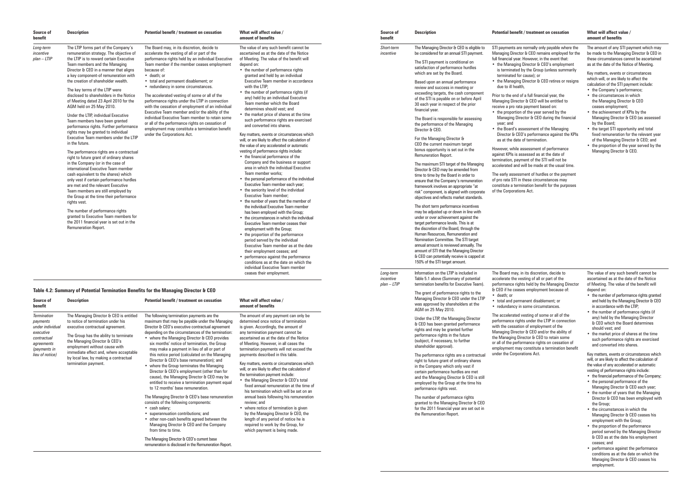#### **Table 4.2: Summary of Potential Termination Benefits for the Managing Director & CEO**

| Source of<br>benefit                    |                                                                                                                                                                                                                                                                                                                                                                                                                                                                                                                                                                                                                                                                                                                                                                                                                                                                                                                                                                                                                                                                                                                                                                                                                                       |                                                                                                                                                                                                                                                                                                                                                                                                                                                                                                                                                                                                                                                                                                                                                                   | amount of benefits                                                                                                                                                                                                                                                                                                                                                                                                                                                                                                                                                                                                                                                                                                                                                                                                                                                                                                                                                                                                                                                                                                                                                                                                                                                                                                                                                                                     | benefit                                 | <b>Description</b>                                                                                                                                                                                                                                                                                                                                                                                                                                                                                                                                                                                                                                                                                                                                                                                                                                                                                                                                                                                                                                                                                                                                                                                                                                                     |                                                                                                                                                                                                                                                                                                                                                                                                                                                                                                                                                                                                                                                 |
|-----------------------------------------|---------------------------------------------------------------------------------------------------------------------------------------------------------------------------------------------------------------------------------------------------------------------------------------------------------------------------------------------------------------------------------------------------------------------------------------------------------------------------------------------------------------------------------------------------------------------------------------------------------------------------------------------------------------------------------------------------------------------------------------------------------------------------------------------------------------------------------------------------------------------------------------------------------------------------------------------------------------------------------------------------------------------------------------------------------------------------------------------------------------------------------------------------------------------------------------------------------------------------------------|-------------------------------------------------------------------------------------------------------------------------------------------------------------------------------------------------------------------------------------------------------------------------------------------------------------------------------------------------------------------------------------------------------------------------------------------------------------------------------------------------------------------------------------------------------------------------------------------------------------------------------------------------------------------------------------------------------------------------------------------------------------------|--------------------------------------------------------------------------------------------------------------------------------------------------------------------------------------------------------------------------------------------------------------------------------------------------------------------------------------------------------------------------------------------------------------------------------------------------------------------------------------------------------------------------------------------------------------------------------------------------------------------------------------------------------------------------------------------------------------------------------------------------------------------------------------------------------------------------------------------------------------------------------------------------------------------------------------------------------------------------------------------------------------------------------------------------------------------------------------------------------------------------------------------------------------------------------------------------------------------------------------------------------------------------------------------------------------------------------------------------------------------------------------------------------|-----------------------------------------|------------------------------------------------------------------------------------------------------------------------------------------------------------------------------------------------------------------------------------------------------------------------------------------------------------------------------------------------------------------------------------------------------------------------------------------------------------------------------------------------------------------------------------------------------------------------------------------------------------------------------------------------------------------------------------------------------------------------------------------------------------------------------------------------------------------------------------------------------------------------------------------------------------------------------------------------------------------------------------------------------------------------------------------------------------------------------------------------------------------------------------------------------------------------------------------------------------------------------------------------------------------------|-------------------------------------------------------------------------------------------------------------------------------------------------------------------------------------------------------------------------------------------------------------------------------------------------------------------------------------------------------------------------------------------------------------------------------------------------------------------------------------------------------------------------------------------------------------------------------------------------------------------------------------------------|
| Long-term<br>incentive<br>$plan - LTIP$ | <b>Description</b><br>The LTIP forms part of the Company's<br>remuneration strategy. The objective of<br>the LTIP is to reward certain Executive<br>Team members and the Managing<br>Director & CEO in a manner that aligns<br>a key component-of remuneration with<br>the creation of shareholder wealth.<br>The key terms of the LTIP were<br>disclosed to shareholders in the Notice<br>of Meeting dated 23 April 2010 for the<br>AGM held on 25 May 2010.<br>Under the LTIP, individual Executive<br>Team members have been granted<br>performance rights. Further performance<br>rights may be granted to individual<br>Executive Team members under the LTIP<br>in the future.<br>The performance rights are a contractual<br>right to future grant of ordinary shares<br>in the Company (or in the case of<br>international Executive Team member<br>cash equivalent to the shares) which<br>only vest if certain performance hurdles<br>are met and the relevant Executive<br>Team members are still employed by<br>the Group at the time their performance<br>rights vest.<br>The number of performance rights<br>granted to Executive Team members for<br>the 2011 financial year is set out in the<br>Remuneration Report. | Potential benefit / treatment on cessation<br>The Board may, in its discretion, decide to<br>accelerate the vesting of all or part of the<br>performance rights held by an individual Executive<br>Team member if the member ceases employment<br>because of:<br>• death: or<br>• total and permanent disablement; or<br>• redundancy in some circumstances.<br>The accelerated vesting of some or all of the<br>performance rights under the LTIP in connection<br>with the cessation of employment of an individual<br>Executive Team member and/or the ability of the<br>individual Executive Team member to retain some<br>or all of the performance rights on cessation of<br>employment may constitute a termination benefit<br>under the Corporations Act. | What will affect value /<br>The value of any such benefit cannot be<br>ascertained as at the date of the Notice<br>of Meeting. The value of the benefit will<br>depend on:<br>• the number of performance rights<br>granted and held by an individual<br>Executive Team member in accordance<br>with the LTIP:<br>• the number of performance rights (if<br>any) held by an individual Executive<br>Team member which the Board<br>determines should vest; and<br>• the market price of shares at the time<br>such performance rights are exercised<br>and converted into shares.<br>Key matters, events or circumstances which<br>will, or are likely to affect the calculation of<br>the value of any accelerated or automatic<br>vesting of performance rights include:<br>• the financial performance of the<br>Company and the business or support<br>area in which the individual Executive<br>Team member works:<br>• the personal performance of the individual<br>Executive Team member each year;<br>• the seniority level of the individual<br>Executive Team member;<br>• the number of years that the member of<br>the individual Executive Team member<br>has been employed with the Group;<br>• the circumstances in which the individual<br>Executive Team member ceases their<br>employment with the Group;<br>• the proportion of the performance<br>period served by the individual | Source of<br>Short-term<br>incentive    | The Managing Director & CEO is eligible to<br>be considered for an annual STI payment.<br>The STI payment is conditional on<br>satisfaction of performance hurdles<br>which are set by the Board.<br>Based upon an annual performance<br>review and success in meeting or<br>exceeding targets, the cash component<br>of the STI is payable on or before April<br>30 each year in respect of the prior<br>financial vear.<br>The Board is responsible for assessing<br>the performance of the Managing<br>Director & CEO.<br>For the Managing Director &<br>CEO the current maximum target<br>bonus opportunity is set out in the<br><b>Remuneration Report.</b><br>The maximum STI target of the Managing<br>Director & CEO may be amended from<br>time to time by the Board in order to<br>ensure that the Company's remuneration<br>framework involves an appropriate "at<br>risk" component, is aligned with corporate<br>objectives and reflects market standards.<br>The short term performance incentives<br>may be adjusted up or down in line with<br>under or over achievement against the<br>target performance levels. This is at<br>the discretion of the Board, through the<br>Human Resources, Remuneration and<br>Nomination Committee. The STI target | Potential benefit / tr<br>STI payments are nor<br>Managing Director &<br>full financial year. Hov<br>• the Managing Dire<br>is terminated by th<br>terminated for cau<br>• the Managing Dire<br>due to ill health.<br>Prior to the end of a f<br>Managing Director &<br>receive a pro rata pay<br>• the proportion of tl<br><b>Managing Director</b><br>year; and<br>• the Board's assess<br>Director & CEO's p<br>as at the date of te<br>However, while asses<br>against KPIs is asses<br>termination, payment<br>accelerated and will I<br>The early assessmen<br>of pro rata STI in thes<br>constitute a terminati<br>of the Corporations A |
|                                         |                                                                                                                                                                                                                                                                                                                                                                                                                                                                                                                                                                                                                                                                                                                                                                                                                                                                                                                                                                                                                                                                                                                                                                                                                                       |                                                                                                                                                                                                                                                                                                                                                                                                                                                                                                                                                                                                                                                                                                                                                                   | Executive Team member as at the date<br>their employment ceases; and<br>• performance against the performance<br>conditions as at the date on which the                                                                                                                                                                                                                                                                                                                                                                                                                                                                                                                                                                                                                                                                                                                                                                                                                                                                                                                                                                                                                                                                                                                                                                                                                                                |                                         | annual amount is reviewed annually. The<br>amount of STI that the Managing Director<br>& CEO can potentially receive is capped at<br>150% of the STI target amount.                                                                                                                                                                                                                                                                                                                                                                                                                                                                                                                                                                                                                                                                                                                                                                                                                                                                                                                                                                                                                                                                                                    |                                                                                                                                                                                                                                                                                                                                                                                                                                                                                                                                                                                                                                                 |
|                                         |                                                                                                                                                                                                                                                                                                                                                                                                                                                                                                                                                                                                                                                                                                                                                                                                                                                                                                                                                                                                                                                                                                                                                                                                                                       |                                                                                                                                                                                                                                                                                                                                                                                                                                                                                                                                                                                                                                                                                                                                                                   | individual Executive Team member<br>ceases their employment.                                                                                                                                                                                                                                                                                                                                                                                                                                                                                                                                                                                                                                                                                                                                                                                                                                                                                                                                                                                                                                                                                                                                                                                                                                                                                                                                           | Long-term<br>incentive<br>$plan - LTIP$ | Information on the LTIP is included in<br>Table 5.1 above (Summary of potential<br>termination benefits for Executive Team).                                                                                                                                                                                                                                                                                                                                                                                                                                                                                                                                                                                                                                                                                                                                                                                                                                                                                                                                                                                                                                                                                                                                           | The Board may, in its<br>accelerate the vestine<br>performance rights he                                                                                                                                                                                                                                                                                                                                                                                                                                                                                                                                                                        |

| Source of<br>benefit                                                                                                            | <b>Description</b>                                                                                                                                                                                                                                                                                                                       | Potential benefit / treatment on cessation                                                                                                                                                                                                                                                                                                                                                                                                                                                                                                                                                                                                                                                                                                                                                                                                                                                                                                                                                                | What will affect value /<br>amount of benefits                                                                                                                                                                                                                                                                                                                                                                                                                                                                                                                                                                                                                                                                                                                                                                                                                 |
|---------------------------------------------------------------------------------------------------------------------------------|------------------------------------------------------------------------------------------------------------------------------------------------------------------------------------------------------------------------------------------------------------------------------------------------------------------------------------------|-----------------------------------------------------------------------------------------------------------------------------------------------------------------------------------------------------------------------------------------------------------------------------------------------------------------------------------------------------------------------------------------------------------------------------------------------------------------------------------------------------------------------------------------------------------------------------------------------------------------------------------------------------------------------------------------------------------------------------------------------------------------------------------------------------------------------------------------------------------------------------------------------------------------------------------------------------------------------------------------------------------|----------------------------------------------------------------------------------------------------------------------------------------------------------------------------------------------------------------------------------------------------------------------------------------------------------------------------------------------------------------------------------------------------------------------------------------------------------------------------------------------------------------------------------------------------------------------------------------------------------------------------------------------------------------------------------------------------------------------------------------------------------------------------------------------------------------------------------------------------------------|
| <b>Termination</b><br>payments<br>under individual<br>executive<br>contractual<br>agreements<br>(payments in<br>lieu of notice) | The Managing Director & CEO is entitled<br>to notice of termination under his<br>executive contractual agreement.<br>The Group has the ability to terminate<br>the Managing Director & CEO's<br>employment without cause with<br>immediate effect and, where acceptable<br>by local law, by making a contractual<br>termination payment. | The following termination payments are the<br>maximum that may be payable under the Managing<br>Director & CEO's executive contractual agreement<br>depending on the circumstances of the termination:<br>• where the Managing Director & CEO provides<br>six months' notice of termination, the Group<br>may make a payment in lieu of all or part of<br>this notice period (calculated on the Managing<br>Director & CEO's base remuneration); and<br>• where the Group terminates the Managing<br>Director & CEO's employment (other than for<br>cause), the Managing Director & CEO may be<br>entitled to receive a termination payment equal<br>to 12 months' base remuneration.<br>The Managing Director & CEO's base remuneration<br>consists of the following components:<br>• cash salary;<br>• superannuation contributions; and<br>• other non-cash benefits agreed between the<br>Managing Director & CEO and the Company<br>from time to time.<br>The Managing Director & CEO's current base | The amount of any payment can only be<br>determined once notice of termination<br>is given. Accordingly, the amount of<br>any termination payment cannot be<br>ascertained as at the date of the Notice<br>of Meeting. However, in all cases the<br>termination payments will not exceed the<br>payments described in this table.<br>Key matters, events or circumstances which<br>will, or are likely to affect the calculation of<br>the termination payment include:<br>• the Managing Director & CEO's total<br>fixed annual remuneration at the time of<br>his termination which will be set on an<br>annual basis following his remuneration<br>review: and<br>where notice of termination is given<br>by the Managing Director & CEO, the<br>length of any period of notice he is<br>required to work by the Group, for<br>which payment is being made. |
|                                                                                                                                 |                                                                                                                                                                                                                                                                                                                                          | remuneration is disclosed in the Remuneration Report.                                                                                                                                                                                                                                                                                                                                                                                                                                                                                                                                                                                                                                                                                                                                                                                                                                                                                                                                                     |                                                                                                                                                                                                                                                                                                                                                                                                                                                                                                                                                                                                                                                                                                                                                                                                                                                                |

#### **Poetment on cessation Postupion What will affect value /**

rmally only payable where the CEO remains employed for the wever, in the event that: •••••••<sub>••••</sub><br>ector & CEO's employment he Group (unless summarily use): or <sup>'</sup>

 $\,\ldots\,$  . The Managing or resigns

full financial year, the **CEO** will be entitled to  $v$ ment based on:  $\dot{\tilde{}}$  the year served by the or & CEO during the financial

sment of the Managing performance against the KPIs .<br>ermination.

ssment of performance  $s$ sed as at the date of  $\overline{\phantom{a}}$ t of the STI will not be be made at the usual time.

t of hurdles or the payment se circumstances may  $\frac{1}{2}$  tion benefit for the purposes h Act

discretion, decide to ag of all or part of the  $\frac{1}{2}$ performance include the Managing Director & CEO if he ceases employment because of:

• total and permanent disablement; or • redundancy in some circumstances.

- the number of performance rights granted and held by the Managing Director & CEO in accordance with the LTIP;
- the number of performance rights (if any) held by the Managing Director & CEO which the Board determines should vest; and
- **•** the market price of shares at the time such performance rights are exercised and converted into shares.

- the financial performance of the Company; • the personal performance of the
- Managing Director & CEO each year; • the number of years that the Managing
- Director & CEO has been employed with the Group;
- the circumstances in which the Managing Director & CEO ceases his employment with the Group;
- the proportion of the performance period served by the Managing Director & CEO as at the date his employment ceases; and
- • performance against the performance conditions as at the date on which the Managing Director & CEO ceases his employment.

# **amount of benefits**

The amount of any STI payment which may be made to the Managing Director & CEO in these circumstances cannot be ascertained as at the date of the Notice of Meeting.

Key matters, events or circumstances which will, or are likely to affect the calculation of the STI payment include:

- the Company's performance;
- the circumstances in which the Managing Director & CEO ceases employment;
- the achievement of KPIs by the Managing Director & CEO (as assessed by the Board;
- the target STI opportunity and total fixed remuneration for the relevant year of the Managing Director & CEO; and
- the proportion of the year served by the Managing Director & CEO.

AGM on 25 May 2010.

Under the LTIP, the Managing Director & CEO has been granted performance rights and may be granted further performance rights in the future (subject, if necessary, to further shareholder approval).

The performance rights are a contractual right to future grant of ordinary shares in the Company which only vest if certain performance hurdles are met and the Managing Director & CEO is still employed by the Group at the time his

performance rights vest.

The number of performance rights granted to the Managing Director & CEO for the 2011 financial year are set out in

the Remuneration Report.

• death; or

The grant of performance rights to the Managing Director & CEO under the LTIP was approved by shareholders at the

> The accelerated vesting of some or all of the performance rights under the LTIP in connection with the cessation of employment of the Managing Director & CEO and/or the ability of the Managing Director & CEO to retain some or all of the performance rights on cessation of employment may constitute a termination benefit under the Corporations Act.

The value of any such benefit cannot be ascertained as at the date of the Notice of Meeting. The value of the benefit will depend on:

Key matters, events or circumstances which will, or are likely to affect the calculation of the value of any accelerated or automatic vesting of performance rights include: